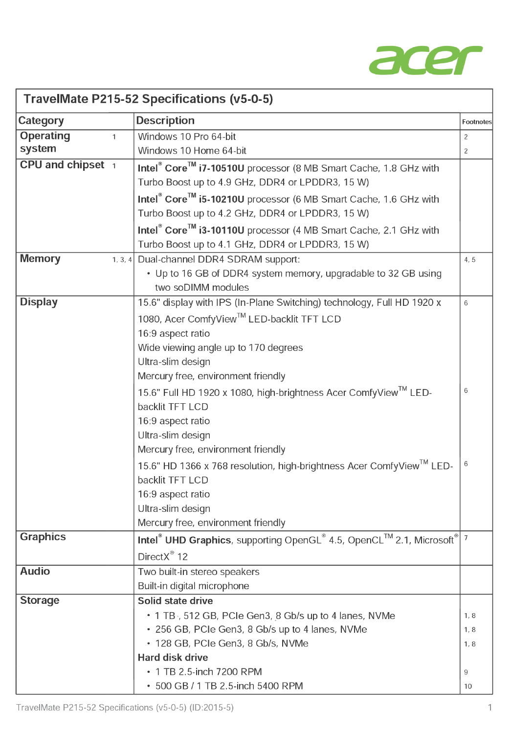

| TravelMate P215-52 Specifications (v5-0-5) |                                                                                                                                              |                |
|--------------------------------------------|----------------------------------------------------------------------------------------------------------------------------------------------|----------------|
| <b>Category</b>                            | <b>Description</b>                                                                                                                           | Footnotes      |
| <b>Operating</b><br>$\mathbf{1}$           | Windows 10 Pro 64-bit                                                                                                                        | $\overline{2}$ |
| system                                     | Windows 10 Home 64-bit                                                                                                                       | 2              |
| CPU and chipset 1                          | Intel® Core™ i7-10510U processor (8 MB Smart Cache, 1.8 GHz with                                                                             |                |
|                                            | Turbo Boost up to 4.9 GHz, DDR4 or LPDDR3, 15 W)                                                                                             |                |
|                                            | Intel <sup>®</sup> Core <sup>™</sup> i5-10210U processor (6 MB Smart Cache, 1.6 GHz with<br>Turbo Boost up to 4.2 GHz, DDR4 or LPDDR3, 15 W) |                |
|                                            |                                                                                                                                              |                |
|                                            | Intel <sup>®</sup> Core <sup>™</sup> i3-10110U processor (4 MB Smart Cache, 2.1 GHz with<br>Turbo Boost up to 4.1 GHz, DDR4 or LPDDR3, 15 W) |                |
| <b>Memory</b>                              | 1, 3, 4 Dual-channel DDR4 SDRAM support:                                                                                                     | 4, 5           |
|                                            | • Up to 16 GB of DDR4 system memory, upgradable to 32 GB using                                                                               |                |
|                                            | two soDIMM modules                                                                                                                           |                |
| <b>Display</b>                             | 15.6" display with IPS (In-Plane Switching) technology, Full HD 1920 x                                                                       | 6              |
|                                            | 1080, Acer ComfyView™ LED-backlit TFT LCD                                                                                                    |                |
|                                            | 16:9 aspect ratio                                                                                                                            |                |
|                                            | Wide viewing angle up to 170 degrees                                                                                                         |                |
|                                            | Ultra-slim design                                                                                                                            |                |
|                                            | Mercury free, environment friendly                                                                                                           |                |
|                                            | 15.6" Full HD 1920 x 1080, high-brightness Acer ComfyView™ LED-                                                                              | 6              |
|                                            | backlit TFT LCD                                                                                                                              |                |
|                                            | 16:9 aspect ratio                                                                                                                            |                |
|                                            | Ultra-slim design                                                                                                                            |                |
|                                            | Mercury free, environment friendly                                                                                                           |                |
|                                            | 15.6" HD 1366 x 768 resolution, high-brightness Acer Comfy View <sup>1M</sup> LED-                                                           | 6              |
|                                            | backlit TFT LCD                                                                                                                              |                |
|                                            | 16:9 aspect ratio                                                                                                                            |                |
|                                            | Ultra-slim design                                                                                                                            |                |
|                                            | Mercury free, environment friendly                                                                                                           |                |
| <b>Graphics</b>                            | Intel <sup>®</sup> UHD Graphics, supporting OpenGL <sup>®</sup> 4.5, OpenCL <sup>™</sup> 2.1, Microsoft <sup>®</sup> 7                       |                |
|                                            | DirectX <sup>®</sup> 12                                                                                                                      |                |
| <b>Audio</b>                               | Two built-in stereo speakers                                                                                                                 |                |
|                                            | Built-in digital microphone                                                                                                                  |                |
| <b>Storage</b>                             | Solid state drive                                                                                                                            |                |
|                                            | • 1 TB, 512 GB, PCIe Gen3, 8 Gb/s up to 4 lanes, NVMe                                                                                        | 1, 8           |
|                                            | • 256 GB, PCIe Gen3, 8 Gb/s up to 4 lanes, NVMe                                                                                              | 1, 8           |
|                                            | • 128 GB, PCIe Gen3, 8 Gb/s, NVMe                                                                                                            | 1, 8           |
|                                            | <b>Hard disk drive</b>                                                                                                                       |                |
|                                            | • 1 TB 2.5-inch 7200 RPM                                                                                                                     | 9              |
|                                            | • 500 GB / 1 TB 2.5-inch 5400 RPM                                                                                                            | 10             |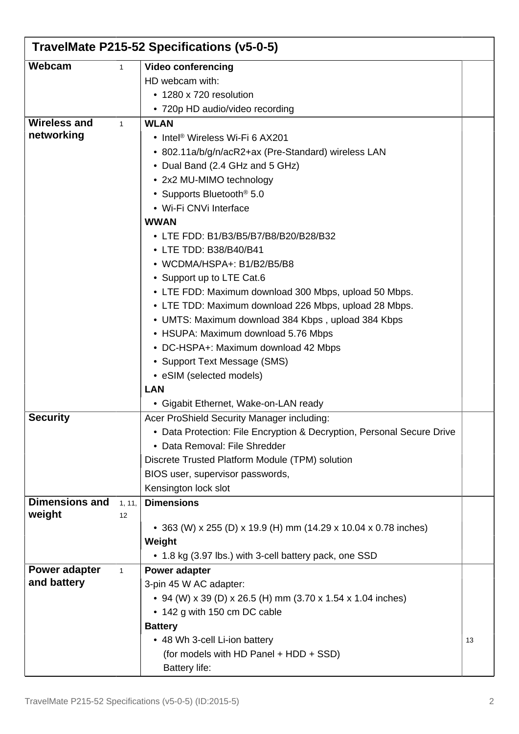| TravelMate P215-52 Specifications (v5-0-5) |              |                                                                        |    |
|--------------------------------------------|--------------|------------------------------------------------------------------------|----|
| Webcam                                     | $\mathbf{1}$ | <b>Video conferencing</b>                                              |    |
|                                            |              | HD webcam with:                                                        |    |
|                                            |              | • 1280 x 720 resolution                                                |    |
|                                            |              | • 720p HD audio/video recording                                        |    |
| <b>Wireless and</b>                        | 1            | <b>WLAN</b>                                                            |    |
| networking                                 |              | • Intel <sup>®</sup> Wireless Wi-Fi 6 AX201                            |    |
|                                            |              | • 802.11a/b/g/n/acR2+ax (Pre-Standard) wireless LAN                    |    |
|                                            |              | • Dual Band (2.4 GHz and 5 GHz)                                        |    |
|                                            |              | • 2x2 MU-MIMO technology                                               |    |
|                                            |              | • Supports Bluetooth <sup>®</sup> 5.0                                  |    |
|                                            |              | • Wi-Fi CNVi Interface                                                 |    |
|                                            |              | <b>WWAN</b>                                                            |    |
|                                            |              | • LTE FDD: B1/B3/B5/B7/B8/B20/B28/B32                                  |    |
|                                            |              | • LTE TDD: B38/B40/B41                                                 |    |
|                                            |              | • WCDMA/HSPA+: B1/B2/B5/B8                                             |    |
|                                            |              | • Support up to LTE Cat.6                                              |    |
|                                            |              | • LTE FDD: Maximum download 300 Mbps, upload 50 Mbps.                  |    |
|                                            |              | • LTE TDD: Maximum download 226 Mbps, upload 28 Mbps.                  |    |
|                                            |              | • UMTS: Maximum download 384 Kbps, upload 384 Kbps                     |    |
|                                            |              | • HSUPA: Maximum download 5.76 Mbps                                    |    |
|                                            |              | • DC-HSPA+: Maximum download 42 Mbps                                   |    |
|                                            |              | • Support Text Message (SMS)                                           |    |
|                                            |              | • eSIM (selected models)                                               |    |
|                                            |              | <b>LAN</b>                                                             |    |
|                                            |              | • Gigabit Ethernet, Wake-on-LAN ready                                  |    |
| <b>Security</b>                            |              | Acer ProShield Security Manager including:                             |    |
|                                            |              | • Data Protection: File Encryption & Decryption, Personal Secure Drive |    |
|                                            |              | • Data Removal: File Shredder                                          |    |
|                                            |              | Discrete Trusted Platform Module (TPM) solution                        |    |
|                                            |              | BIOS user, supervisor passwords,                                       |    |
|                                            |              | Kensington lock slot                                                   |    |
| Dimensions and                             | 1, 11,       | <b>Dimensions</b>                                                      |    |
| weight                                     | 12           |                                                                        |    |
|                                            |              | • 363 (W) x 255 (D) x 19.9 (H) mm (14.29 x 10.04 x 0.78 inches)        |    |
|                                            |              | Weight                                                                 |    |
|                                            |              | • 1.8 kg (3.97 lbs.) with 3-cell battery pack, one SSD                 |    |
| Power adapter<br>and battery               | $\mathbf{1}$ | <b>Power adapter</b>                                                   |    |
|                                            |              | 3-pin 45 W AC adapter:                                                 |    |
|                                            |              | • 94 (W) x 39 (D) x 26.5 (H) mm (3.70 x 1.54 x 1.04 inches)            |    |
|                                            |              | • 142 g with 150 cm DC cable                                           |    |
|                                            |              | <b>Battery</b>                                                         |    |
|                                            |              | • 48 Wh 3-cell Li-ion battery                                          | 13 |
|                                            |              | (for models with HD Panel + HDD + SSD)                                 |    |
|                                            |              | <b>Battery life:</b>                                                   |    |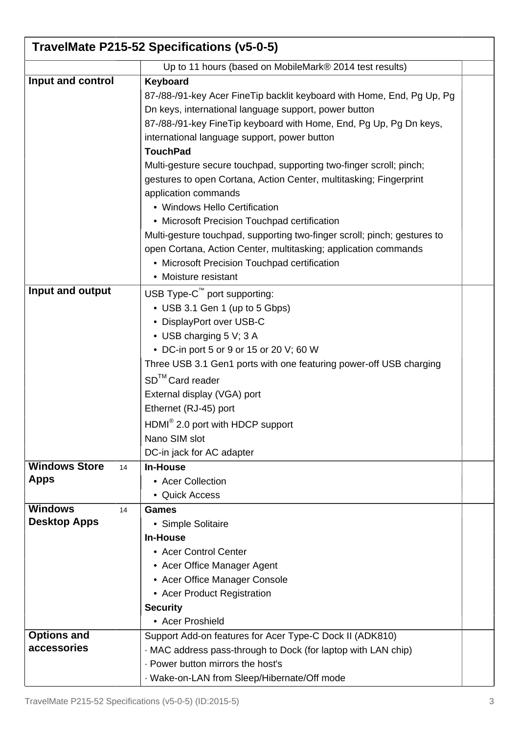| TravelMate P215-52 Specifications (v5-0-5) |                                                                          |  |
|--------------------------------------------|--------------------------------------------------------------------------|--|
|                                            | Up to 11 hours (based on MobileMark® 2014 test results)                  |  |
| Input and control                          | Keyboard                                                                 |  |
|                                            | 87-/88-/91-key Acer Fine Tip backlit keyboard with Home, End, Pg Up, Pg  |  |
|                                            | Dn keys, international language support, power button                    |  |
|                                            | 87-/88-/91-key FineTip keyboard with Home, End, Pg Up, Pg Dn keys,       |  |
|                                            | international language support, power button                             |  |
|                                            | <b>TouchPad</b>                                                          |  |
|                                            | Multi-gesture secure touchpad, supporting two-finger scroll; pinch;      |  |
|                                            | gestures to open Cortana, Action Center, multitasking; Fingerprint       |  |
|                                            | application commands                                                     |  |
|                                            | • Windows Hello Certification                                            |  |
|                                            | • Microsoft Precision Touchpad certification                             |  |
|                                            | Multi-gesture touchpad, supporting two-finger scroll; pinch; gestures to |  |
|                                            | open Cortana, Action Center, multitasking; application commands          |  |
|                                            | • Microsoft Precision Touchpad certification                             |  |
|                                            | • Moisture resistant                                                     |  |
| Input and output                           | USB Type-C™ port supporting:                                             |  |
|                                            | • USB 3.1 Gen 1 (up to 5 Gbps)                                           |  |
|                                            | • DisplayPort over USB-C                                                 |  |
|                                            | • USB charging 5 V; 3 A                                                  |  |
|                                            | • DC-in port 5 or 9 or 15 or 20 V; 60 W                                  |  |
|                                            | Three USB 3.1 Gen1 ports with one featuring power-off USB charging       |  |
|                                            | SD <sup>™</sup> Card reader                                              |  |
|                                            | External display (VGA) port                                              |  |
|                                            | Ethernet (RJ-45) port                                                    |  |
|                                            | HDMI <sup>®</sup> 2.0 port with HDCP support                             |  |
|                                            | Nano SIM slot                                                            |  |
|                                            | DC-in jack for AC adapter                                                |  |
| <b>Windows Store</b><br>14                 | <b>In-House</b>                                                          |  |
| <b>Apps</b>                                | • Acer Collection                                                        |  |
|                                            | • Quick Access                                                           |  |
| <b>Windows</b><br>14                       | <b>Games</b>                                                             |  |
| <b>Desktop Apps</b>                        | • Simple Solitaire                                                       |  |
|                                            | <b>In-House</b>                                                          |  |
|                                            | • Acer Control Center                                                    |  |
|                                            | • Acer Office Manager Agent                                              |  |
|                                            | • Acer Office Manager Console                                            |  |
|                                            | • Acer Product Registration                                              |  |
|                                            | <b>Security</b>                                                          |  |
|                                            | • Acer Proshield                                                         |  |
| <b>Options and</b>                         | Support Add-on features for Acer Type-C Dock II (ADK810)                 |  |
| accessories                                | MAC address pass-through to Dock (for laptop with LAN chip)              |  |
|                                            | . Power button mirrors the host's                                        |  |
|                                            | · Wake-on-LAN from Sleep/Hibernate/Off mode                              |  |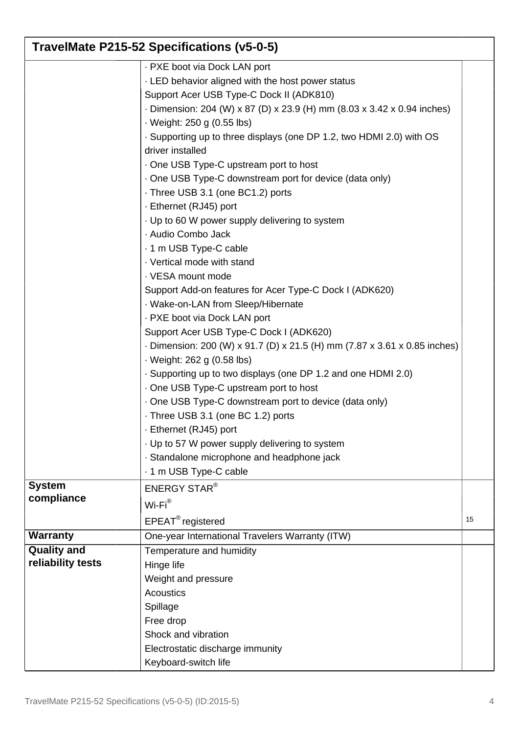| TravelMate P215-52 Specifications (v5-0-5) |                                                                                                                                                                                                                                                                                                                                                                                                                                                                                                                                                                                                                                                                                                                                                                                                                                                                                                                                                                                                                                                                                                                                                                                                                             |    |
|--------------------------------------------|-----------------------------------------------------------------------------------------------------------------------------------------------------------------------------------------------------------------------------------------------------------------------------------------------------------------------------------------------------------------------------------------------------------------------------------------------------------------------------------------------------------------------------------------------------------------------------------------------------------------------------------------------------------------------------------------------------------------------------------------------------------------------------------------------------------------------------------------------------------------------------------------------------------------------------------------------------------------------------------------------------------------------------------------------------------------------------------------------------------------------------------------------------------------------------------------------------------------------------|----|
|                                            | - PXE boot via Dock LAN port<br>. LED behavior aligned with the host power status<br>Support Acer USB Type-C Dock II (ADK810)<br>- Dimension: 204 (W) x 87 (D) x 23.9 (H) mm (8.03 x 3.42 x 0.94 inches)<br>· Weight: 250 g (0.55 lbs)<br>. Supporting up to three displays (one DP 1.2, two HDMI 2.0) with OS<br>driver installed<br>One USB Type-C upstream port to host<br>One USB Type-C downstream port for device (data only)<br>Three USB 3.1 (one BC1.2) ports<br>- Ethernet (RJ45) port<br>· Up to 60 W power supply delivering to system<br>· Audio Combo Jack<br>. 1 m USB Type-C cable<br>· Vertical mode with stand<br>· VESA mount mode<br>Support Add-on features for Acer Type-C Dock I (ADK620)<br>· Wake-on-LAN from Sleep/Hibernate<br>- PXE boot via Dock LAN port<br>Support Acer USB Type-C Dock I (ADK620)<br>Dimension: 200 (W) x 91.7 (D) x 21.5 (H) mm (7.87 x 3.61 x 0.85 inches)<br>· Weight: 262 g (0.58 lbs)<br>. Supporting up to two displays (one DP 1.2 and one HDMI 2.0)<br>One USB Type-C upstream port to host<br>One USB Type-C downstream port to device (data only)<br>Three USB 3.1 (one BC 1.2) ports<br>- Ethernet (RJ45) port<br>· Up to 57 W power supply delivering to system |    |
|                                            | - 1 m USB Type-C cable                                                                                                                                                                                                                                                                                                                                                                                                                                                                                                                                                                                                                                                                                                                                                                                                                                                                                                                                                                                                                                                                                                                                                                                                      |    |
| compliance                                 | <b>ENERGY STAR®</b><br>$Wi-Fi^{\circledR}$<br>$EPEAT^{\circledR}$ registered                                                                                                                                                                                                                                                                                                                                                                                                                                                                                                                                                                                                                                                                                                                                                                                                                                                                                                                                                                                                                                                                                                                                                | 15 |
| <b>Warranty</b>                            | One-year International Travelers Warranty (ITW)                                                                                                                                                                                                                                                                                                                                                                                                                                                                                                                                                                                                                                                                                                                                                                                                                                                                                                                                                                                                                                                                                                                                                                             |    |
| <b>Quality and</b><br>reliability tests    | Temperature and humidity<br>Hinge life<br>Weight and pressure<br><b>Acoustics</b><br>Spillage<br>Free drop<br>Shock and vibration<br>Electrostatic discharge immunity                                                                                                                                                                                                                                                                                                                                                                                                                                                                                                                                                                                                                                                                                                                                                                                                                                                                                                                                                                                                                                                       |    |
| <b>System</b>                              | · Standalone microphone and headphone jack<br>Keyboard-switch life                                                                                                                                                                                                                                                                                                                                                                                                                                                                                                                                                                                                                                                                                                                                                                                                                                                                                                                                                                                                                                                                                                                                                          |    |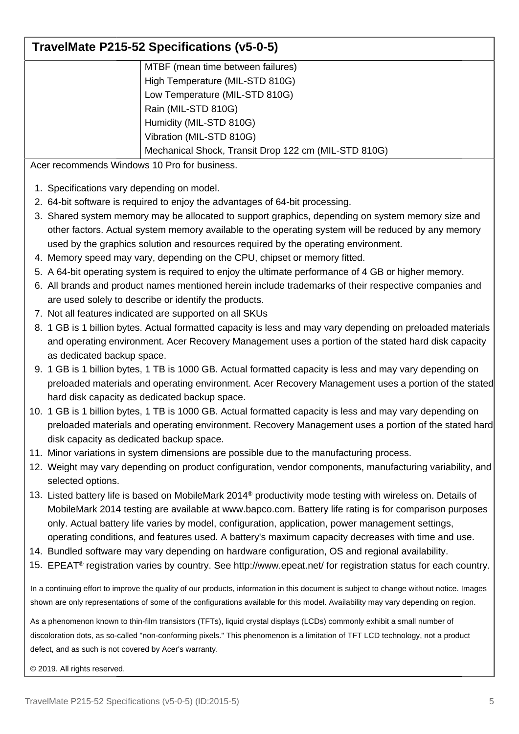## **TravelMate P215-52 Specifications (v5-0-5)**

| MTBF (mean time between failures)                    |
|------------------------------------------------------|
| High Temperature (MIL-STD 810G)                      |
| Low Temperature (MIL-STD 810G)                       |
| Rain (MIL-STD 810G)                                  |
| Humidity (MIL-STD 810G)                              |
| Vibration (MIL-STD 810G)                             |
| Mechanical Shock, Transit Drop 122 cm (MIL-STD 810G) |

Acer recommends Windows 10 Pro for business.

- 1. Specifications vary depending on model.
- 2. 64-bit software is required to enjoy the advantages of 64-bit processing.
- 3. Shared system memory may be allocated to support graphics, depending on system memory size and other factors. Actual system memory available to the operating system will be reduced by any memory used by the graphics solution and resources required by the operating environment.
- 4. Memory speed may vary, depending on the CPU, chipset or memory fitted.
- 5. A 64-bit operating system is required to enjoy the ultimate performance of 4 GB or higher memory.
- 6. All brands and product names mentioned herein include trademarks of their respective companies and are used solely to describe or identify the products.
- 7. Not all features indicated are supported on all SKUs
- 8. 1 GB is 1 billion bytes. Actual formatted capacity is less and may vary depending on preloaded materials and operating environment. Acer Recovery Management uses a portion of the stated hard disk capacity as dedicated backup space.
- 9. 1 GB is 1 billion bytes, 1 TB is 1000 GB. Actual formatted capacity is less and may vary depending on preloaded materials and operating environment. Acer Recovery Management uses a portion of the stated hard disk capacity as dedicated backup space.
- 10. 1 GB is 1 billion bytes, 1 TB is 1000 GB. Actual formatted capacity is less and may vary depending on preloaded materials and operating environment. Recovery Management uses a portion of the stated hard disk capacity as dedicated backup space.
- 11. Minor variations in system dimensions are possible due to the manufacturing process.
- 12. Weight may vary depending on product configuration, vendor components, manufacturing variability, and selected options.
- 13. Listed battery life is based on MobileMark 2014® productivity mode testing with wireless on. Details of MobileMark 2014 testing are available at www.bapco.com. Battery life rating is for comparison purposes only. Actual battery life varies by model, configuration, application, power management settings, operating conditions, and features used. A battery's maximum capacity decreases with time and use.
- 14. Bundled software may vary depending on hardware configuration, OS and regional availability.
- 15. EPEAT® registration varies by country. See http://www.epeat.net/ for registration status for each country.

In a continuing effort to improve the quality of our products, information in this document is subject to change without notice. Images shown are only representations of some of the configurations available for this model. Availability may vary depending on region.

As a phenomenon known to thin-film transistors (TFTs), liquid crystal displays (LCDs) commonly exhibit a small number of discoloration dots, as so-called "non-conforming pixels." This phenomenon is a limitation of TFT LCD technology, not a product defect, and as such is not covered by Acer's warranty.

© 2019. All rights reserved.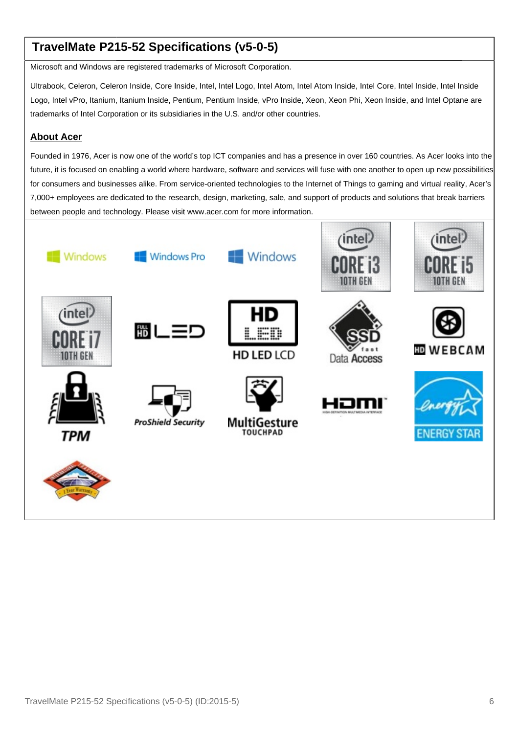## **TravelMate P215-52 Specifications (v5-0-5)**

Microsoft and Windows are registered trademarks of Microsoft Corporation.

Ultrabook, Celeron, Celeron Inside, Core Inside, Intel, Intel Logo, Intel Atom, Intel Atom Inside, Intel Core, Intel Inside, Intel Inside Logo, Intel vPro, Itanium, Itanium Inside, Pentium, Pentium Inside, vPro Inside, Xeon, Xeon Phi, Xeon Inside, and Intel Optane are trademarks of Intel Corporation or its subsidiaries in the U.S. and/or other countries.

#### **About Acer**

Founded in 1976, Acer is now one of the world's top ICT companies and has a presence in over 160 countries. As Acer looks into the future, it is focused on enabling a world where hardware, software and services will fuse with one another to open up new possibilities for consumers and businesses alike. From service-oriented technologies to the Internet of Things to gaming and virtual reality, Acer's 7,000+ employees are dedicated to the research, design, marketing, sale, and support of products and solutions that break barriers between people and technology. Please visit www.acer.com for more information.